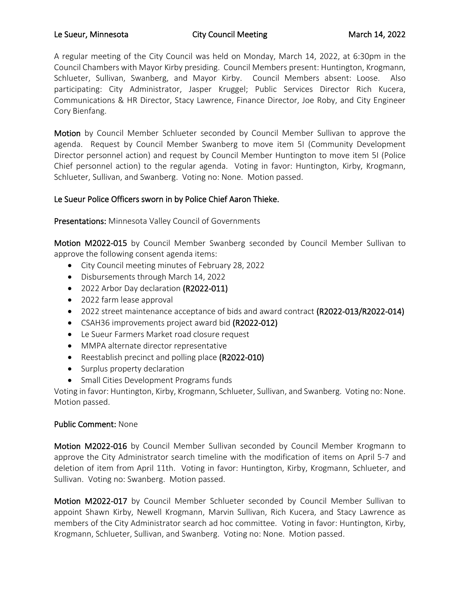## Le Sueur, Minnesota **City Council Meeting** March 14, 2022

A regular meeting of the City Council was held on Monday, March 14, 2022, at 6:30pm in the Council Chambers with Mayor Kirby presiding. Council Members present: Huntington, Krogmann, Schlueter, Sullivan, Swanberg, and Mayor Kirby. Council Members absent: Loose. Also participating: City Administrator, Jasper Kruggel; Public Services Director Rich Kucera, Communications & HR Director, Stacy Lawrence, Finance Director, Joe Roby, and City Engineer Cory Bienfang.

Motion by Council Member Schlueter seconded by Council Member Sullivan to approve the agenda. Request by Council Member Swanberg to move item 5I (Community Development Director personnel action) and request by Council Member Huntington to move item 5I (Police Chief personnel action) to the regular agenda. Voting in favor: Huntington, Kirby, Krogmann, Schlueter, Sullivan, and Swanberg. Voting no: None. Motion passed.

# Le Sueur Police Officers sworn in by Police Chief Aaron Thieke.

Presentations: Minnesota Valley Council of Governments

Motion M2022-015 by Council Member Swanberg seconded by Council Member Sullivan to approve the following consent agenda items:

- City Council meeting minutes of February 28, 2022
- Disbursements through March 14, 2022
- 2022 Arbor Day declaration (R2022-011)
- 2022 farm lease approval
- 2022 street maintenance acceptance of bids and award contract (R2022-013/R2022-014)
- CSAH36 improvements project award bid (R2022-012)
- Le Sueur Farmers Market road closure request
- MMPA alternate director representative
- Reestablish precinct and polling place (R2022-010)
- Surplus property declaration
- Small Cities Development Programs funds

Voting in favor: Huntington, Kirby, Krogmann, Schlueter, Sullivan, and Swanberg. Voting no: None. Motion passed.

### Public Comment: None

Motion M2022-016 by Council Member Sullivan seconded by Council Member Krogmann to approve the City Administrator search timeline with the modification of items on April 5-7 and deletion of item from April 11th. Voting in favor: Huntington, Kirby, Krogmann, Schlueter, and Sullivan. Voting no: Swanberg. Motion passed.

Motion M2022-017 by Council Member Schlueter seconded by Council Member Sullivan to appoint Shawn Kirby, Newell Krogmann, Marvin Sullivan, Rich Kucera, and Stacy Lawrence as members of the City Administrator search ad hoc committee. Voting in favor: Huntington, Kirby, Krogmann, Schlueter, Sullivan, and Swanberg. Voting no: None. Motion passed.